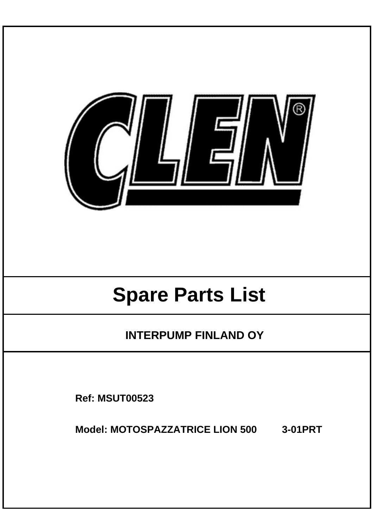

# **Spare Parts List**

**INTERPUMP FINLAND OY** 

**Ref: MSUT00523**

**Model: MOTOSPAZZATRICE LION 500 3-01PRT**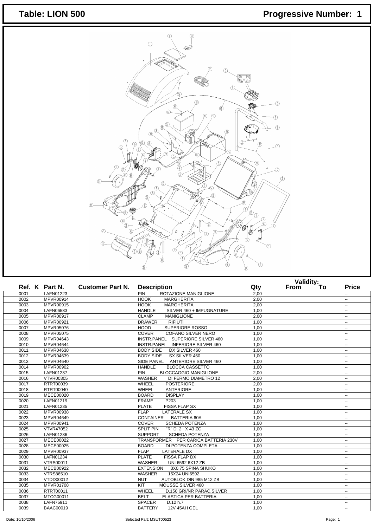## Table: LION 500 **Progressive Number: 1**



| Ref. K Part N.<br><b>Customer Part N.</b> |                  | <b>Description</b>                          | Qty  | vallully To<br>From | <b>Price</b>             |
|-------------------------------------------|------------------|---------------------------------------------|------|---------------------|--------------------------|
| 0001                                      | LAFN01223        | <b>PIN</b><br>ROTAZIONE MANIGLIONE          | 2,00 |                     | $\sim$ $\sim$            |
| 0002                                      | MPVR00914        | <b>HOOK</b><br><b>MARGHERITA</b>            | 2.00 |                     | $\overline{\phantom{a}}$ |
| 0003                                      | MPVR00915        | <b>MARGHERITA</b><br><b>HOOK</b>            | 2,00 |                     | --                       |
| 0004                                      | LAFN06583        | SILVER 460 + IMPUGNATURE<br><b>HANDLE</b>   | 1.00 |                     | $\overline{\phantom{a}}$ |
| 0005                                      | MPVR00917        | <b>CLAMP</b><br><b>MANIGLIONE</b>           | 2,00 |                     | ۰.                       |
| 0006                                      | MPVR00921        | <b>RIFIUTI</b><br><b>DRAWER</b>             | 1,00 |                     | $\overline{\phantom{a}}$ |
| 0007                                      | MPVR05076        | SUPERIORE ROSSO<br><b>HOOD</b>              | 1.00 |                     | $\overline{\phantom{a}}$ |
| 0008                                      | MPVR05075        | COVER<br>COFANO SILVER NERO                 | 1,00 |                     | $\overline{\phantom{a}}$ |
| 0009                                      | MPVR04643        | INSTR.PANEL SUPERIORE SILVER 460            | 1.00 |                     | $\overline{\phantom{a}}$ |
| 0010                                      | MPVR04644        | INSTR.PANEL INFERIORE SILVER 460            | 1,00 |                     | $\overline{\phantom{a}}$ |
| 0011                                      | MPVR04638        | <b>BODY SIDE</b><br>DX SILVER 460           | 1,00 |                     | $\overline{\phantom{a}}$ |
| 0012                                      | MPVR04639        | <b>BODY SIDE</b><br>SX SILVER 460           | 1,00 |                     | $\overline{\phantom{a}}$ |
| 0013                                      | MPVR04640        | <b>ANTERIORE SILVER 460</b><br>SIDE PANEL   | 1,00 |                     | ۰.                       |
| 0014                                      | MPVR00902        | <b>HANDLE</b><br><b>BLOCCA CASSETTO</b>     | 1,00 |                     | $\sim$ $\sim$            |
| 0015                                      | <b>LAFN01237</b> | PIN<br><b>BLOCCAGGIO MANIGLIONE</b>         | 2,00 |                     | $\overline{\phantom{a}}$ |
| 0016                                      | <b>VTVR00305</b> | WASHER<br>DI FERMO DIAMETRO 12              | 2,00 |                     | $\sim$ $\sim$            |
| 0017                                      | RTRT00039        | <b>WHEEL</b><br><b>POSTERIORE</b>           | 2.00 |                     | ۰.                       |
| 0018                                      | RTRT00040        | WHEEL<br><b>ANTERIORE</b>                   | 1,00 |                     | ۰.                       |
| 0019                                      | MECE00020        | <b>BOARD</b><br><b>DISPLAY</b>              | 1,00 |                     | $\overline{\phantom{a}}$ |
| 0020                                      | LAFN01219        | <b>FRAME</b><br>P203                        | 1.00 |                     | $\overline{\phantom{a}}$ |
| 0021                                      | LAFN01235        | <b>FISSA FLAP SX</b><br><b>PLATE</b>        | 1,00 |                     | ۰.                       |
| 0022                                      | MPVR00938        | <b>FLAP</b><br><b>LATERALE SX</b>           | 1.00 |                     | $\sim$ $\sim$            |
| 0023                                      | <b>MPVR04649</b> | <b>CONTAINER</b><br><b>BATTERIA 60A</b>     | 1,00 |                     | ۰.                       |
| 0024                                      | MPVR00941        | <b>COVER</b><br>SCHEDA POTENZA              | 1,00 |                     | $\overline{\phantom{a}}$ |
| 0025                                      | <b>VTVR47052</b> | <b>SPLIT PIN</b><br>"R" D. 2 X 43 ZC        | 1,00 |                     | ۰.                       |
| 0026                                      | LAFN01236        | <b>SCHEDA POTENZA</b><br><b>SUPPORT</b>     | 1,00 |                     | $\overline{\phantom{a}}$ |
| 0027                                      | MECE00022        | TRANSFORMER PER CARICA BATTERIA 230V        | 1,00 |                     | $\overline{\phantom{a}}$ |
| 0028                                      | MECE00025        | <b>BOARD</b><br>DI POTENZA COMPLETA         | 1,00 |                     | $\overline{\phantom{a}}$ |
| 0029                                      | MPVR00937        | <b>FLAP</b><br><b>LATERALE DX</b>           | 1,00 |                     | $\overline{\phantom{a}}$ |
| 0030                                      | LAFN01234        | <b>PLATE</b><br><b>FISSA FLAP DX</b>        | 1.00 |                     | $\overline{\phantom{a}}$ |
| 0031                                      | <b>VTRS00011</b> | <b>WASHER</b><br>UNI 6592 6X12 ZB           | 1,00 |                     | ۰.                       |
| 0032                                      | MECB00922        | <b>EXTENSION</b><br>3X0,75 SPINA SHUKO      | 1,00 |                     | $\overline{\phantom{a}}$ |
| 0033                                      | <b>VTRS86510</b> | <b>WASHER</b><br>15X24 UNI6592              | 1.00 |                     | $\overline{\phantom{a}}$ |
| 0034                                      | VTDD00012        | AUTOBLOK DIN 985 M12 ZB<br><b>NUT</b>       | 1,00 |                     | $\overline{\phantom{a}}$ |
| 0035                                      | <b>MPVR01708</b> | KIT<br>MOUSSE SILVER 460                    | 1.00 |                     | $\overline{\phantom{a}}$ |
| 0036                                      | RTRT00011        | <b>WHEEL</b><br>D.150 GRI/NR PARAC.SILVER   | 1,00 |                     | $\overline{\phantom{a}}$ |
| 0037                                      | MTCG00011        | <b>BELT</b><br><b>ELASTICA PER BATTERIA</b> | 1,00 |                     | $\overline{\phantom{a}}$ |
| 0038                                      | LAFN75911        | <b>SPACER</b><br>D.12 h.7                   | 1,00 |                     | $\overline{\phantom{a}}$ |
| 0039                                      | <b>BAAC00019</b> | <b>BATTERY</b><br>12V 45AH GEL              | 1.00 |                     | $\overline{\phantom{a}}$ |

Date: 10/10/2006 **Contract Contract Contract Contract Contract Contract Contract Contract Contract Contract Contract Contract Contract Contract Contract Contract Contract Contract Contract Contract Contract Contract Contra**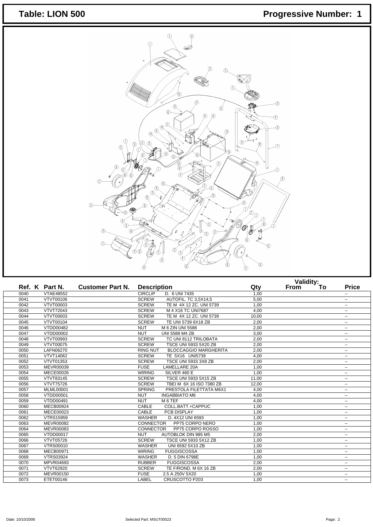## Table: LION 500 **Progressive Number: 1**



|      |                  |                         |                    |                              | Validity:<br>To |             |  |                          |
|------|------------------|-------------------------|--------------------|------------------------------|-----------------|-------------|--|--------------------------|
|      | Ref. K Part N.   | <b>Customer Part N.</b> | <b>Description</b> |                              | Qty             | <b>From</b> |  | <b>Price</b>             |
| 0040 | <b>VTAE48552</b> |                         | <b>CIRCLIP</b>     | D. 6 UNI 7435                | 1,00            |             |  | $\overline{\phantom{a}}$ |
| 0041 | VTVT00106        |                         | <b>SCREW</b>       | AUTOFIL. TC 3.5X14.5         | 5.00            |             |  | $\overline{\phantom{a}}$ |
| 0042 | VTVT00003        |                         | <b>SCREW</b>       | TE M 4X 12 ZC, UNI 5739      | 1.00            |             |  | $\overline{\phantom{a}}$ |
| 0043 | <b>VTVT72043</b> |                         | <b>SCREW</b>       | M 4 X16 TC UNI7687           | 4,00            |             |  | $\overline{\phantom{a}}$ |
| 0044 | VTVT00003        |                         | <b>SCREW</b>       | TE M 4X 12 ZC, UNI 5739      | 10,00           |             |  | $\overline{\phantom{a}}$ |
| 0045 | VTVT00104        |                         | <b>SCREW</b>       | TE UNI 5739 6X18 ZB          | 2,00            |             |  | $\overline{\phantom{a}}$ |
| 0046 | VTDD00482        |                         | <b>NUT</b>         | M 6 ZIN UNI 5588             | 2,00            |             |  | $\overline{\phantom{a}}$ |
| 0047 | VTDD00002        |                         | <b>NUT</b>         | <b>UNI 5588 M4 ZB</b>        | 3,00            |             |  | $\overline{\phantom{a}}$ |
| 0048 | VTVT00993        |                         | <b>SCREW</b>       | TC UNI 8112 TRILOBATA        | 2,00            |             |  | ۰.                       |
| 0049 | VTVT00075        |                         | <b>SCREW</b>       | TSCE UNI 5933 5X20 ZB        | 2,00            |             |  | $\overline{\phantom{a}}$ |
| 0050 | LAFN06270        |                         | <b>RING NUT</b>    | <b>BLOCCAGGIO MARGHERITA</b> | 2.00            |             |  | $\overline{\phantom{a}}$ |
| 0051 | VTVT14062        |                         | <b>SCREW</b>       | TE 5X16 UNI5739              | 4,00            |             |  | $\overline{\phantom{a}}$ |
| 0052 | VTVT01353        |                         | <b>SCREW</b>       | <b>TSCE UNI 5933 3X8 ZB</b>  | 2,00            |             |  | $\overline{\phantom{a}}$ |
| 0053 | MEVR00039        |                         | <b>FUSE</b>        | LAMELLARE 20A                | 1,00            |             |  | --                       |
| 0054 | MECE00026        |                         | <b>WIRING</b>      | SILVER 460 E                 | 1,00            |             |  | $\overline{\phantom{a}}$ |
| 0055 | <b>VTVT83145</b> |                         | <b>SCREW</b>       | TSCE UNI 5933 5X15 ZB        | 11,00           |             |  | $\sim$                   |
| 0056 | <b>VTVT75726</b> |                         | <b>SCREW</b>       | TBEI M 6X 16 ISO 7380 ZB     | 12,00           |             |  | $\overline{\phantom{a}}$ |
| 0057 | <b>MLML00001</b> |                         | <b>SPRING</b>      | PRESTOLA FILETTATA M6X1      | 4,00            |             |  | $\overline{\phantom{a}}$ |
| 0058 | VTDD00501        |                         | <b>NUT</b>         | <b>INGABBIATO M6</b>         | 4,00            |             |  | $\overline{\phantom{a}}$ |
| 0059 | VTDD00491        |                         | <b>NUT</b>         | M <sub>6</sub> TEF           | 4,00            |             |  | $\overline{\phantom{a}}$ |
| 0060 | <b>MECB00924</b> |                         | CABLE              | COLL.BATT.+CAPPUC            | 1,00            |             |  | $\overline{\phantom{a}}$ |
| 0061 | MECE00023        |                         | CABLE              | PCB DISPLAY                  | 1,00            |             |  | ۰.                       |
| 0062 | <b>VTRS15959</b> |                         | <b>WASHER</b>      | D. 4X12 UNI 6593             | 1,00            |             |  | $\overline{\phantom{a}}$ |
| 0063 | <b>MEVR00082</b> |                         | <b>CONNECTOR</b>   | PP75 CORPO NERO              | 1,00            |             |  | $\overline{\phantom{a}}$ |
| 0064 | <b>MEVR00083</b> |                         | <b>CONNECTOR</b>   | PP75 CORPO ROSSO             | 1,00            |             |  | $\overline{\phantom{a}}$ |
| 0065 | <b>VTDD00017</b> |                         | <b>NUT</b>         | AUTOBLOK DIN 985 M5          | 2,00            |             |  | $\overline{\phantom{a}}$ |
| 0066 | VTVT05726        |                         | <b>SCREW</b>       | TSCE UNI 5933 5X12 ZB        | 1,00            |             |  | ۰.                       |
| 0067 | <b>VTRS00010</b> |                         | <b>WASHER</b>      | UNI 6592 5X10 ZB             | 1,00            |             |  | $\overline{\phantom{a}}$ |
| 0068 | <b>MECB00971</b> |                         | <b>WIRING</b>      | <b>FUGGISCOSSA</b>           | 1,00            |             |  | $\overline{\phantom{a}}$ |
| 0069 | <b>VTRS03924</b> |                         | <b>WASHER</b>      | D. 5 DIN 6798E               | 1,00            |             |  | ۰.                       |
| 0070 | MPVR04693        |                         | <b>RUBBER</b>      | <b>FUGGISCOSSA</b>           | 2,00            |             |  | $\overline{\phantom{a}}$ |
| 0071 | VTVT62920        |                         | <b>SCREW</b>       | TE F/ROND. M 6X 16 ZB        | 2,00            |             |  | $\overline{\phantom{a}}$ |
| 0072 | MEVR00150        |                         | <b>FUSE</b>        | 2.5 A 250V 5X20              | 1,00            |             |  | $\overline{\phantom{a}}$ |
| 0073 | ETET00146        |                         | LABEL              | <b>CRUSCOTTO P203</b>        | 1,00            |             |  | $\overline{\phantom{a}}$ |
|      |                  |                         |                    |                              |                 |             |  |                          |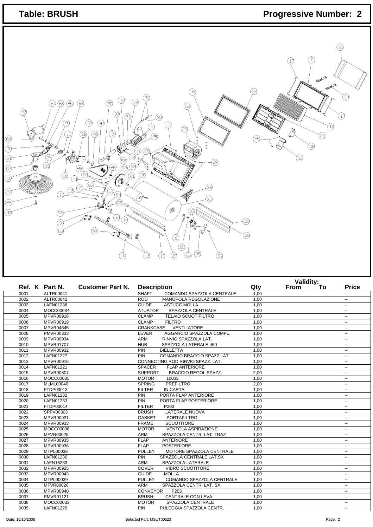| <b>Table: BRUSH</b>                                                                                                                                                                                                                                                                                                                                                                                                    |                                                                                                                                                                                                                                                       | <b>Progressive Number: 2</b>                              |
|------------------------------------------------------------------------------------------------------------------------------------------------------------------------------------------------------------------------------------------------------------------------------------------------------------------------------------------------------------------------------------------------------------------------|-------------------------------------------------------------------------------------------------------------------------------------------------------------------------------------------------------------------------------------------------------|-----------------------------------------------------------|
| 72)<br>(66)<br>46)<br>57)<br>68<br>5Ċ<br>42,<br>33)<br>73,<br>39<br>-4Ò,<br>A)<br>48)<br>-3)<br>(26)<br>63)<br>J <sup>o</sup> rb<br>70,<br>$\mathcal{L}_{\mathcal{O}}$<br>78)<br>3)<br>$\sim$<br>(ဒေါ<br>B<br>49<br>(67<br>ap,<br>(e?<br>⊛<br>(68)<br>O<br>(1)<br>$^\prime\,$<br>65)<br>⊘<br>$\bigcirc$<br>22,<br>$\left(1\right)$<br>.64)<br>.<br>65<br>(44)<br>ঞ<br>(52<br>e g<br>51<br>-14<br>७<br>લ્ડિ<br>€<br>-1) | 76<br>(59)<br>30)<br>€<br>(25)<br>France Contractor<br>(න<br>34<br><b>RECEIVED</b><br>(38)<br>36)<br>37<br><br>30<br>昌市<br>$\langle \!\!\!\langle \boldsymbol{\theta}\rangle\!\!\!\rangle$<br>ä<br>3)<br>ෛ<br>35)<br>4<br>⊘<br>$\odot$<br>(19<br>(56) | 21)<br>17<br>74<br>. 18)<br>24<br>16<br>32,<br>20)<br>28) |
| Ref. K Part N.<br><b>Customer Part N.</b>                                                                                                                                                                                                                                                                                                                                                                              | <b>Description</b>                                                                                                                                                                                                                                    | Validity:<br>From To<br><b>Price</b><br>Qty               |
| <b>ALTR00041</b><br>0001                                                                                                                                                                                                                                                                                                                                                                                               | <b>SHAFT</b><br>COMANDO SPAZZOLA CENTRALE                                                                                                                                                                                                             | 1,00<br>$\mathbb{Z}^2$                                    |
| ALTR00042<br>0002                                                                                                                                                                                                                                                                                                                                                                                                      | <b>ROD</b><br>MANOPOLA REGOLAZIONE                                                                                                                                                                                                                    | 1,00<br>$\mathbb{Z}^2$                                    |
| LAFN01238<br>0003                                                                                                                                                                                                                                                                                                                                                                                                      | GUIDE<br>ASTUCC.MOLLA                                                                                                                                                                                                                                 | 1,00<br>$\sim$                                            |
| 0004<br>MOCC00034                                                                                                                                                                                                                                                                                                                                                                                                      | SPAZZOLA CENTRALE<br><b>ATUATOR</b><br><b>TELAIO SCUOTIFILTRO</b>                                                                                                                                                                                     | 1,00<br>$\mathbb{Z}^2$                                    |
| MPVR00918<br>0005                                                                                                                                                                                                                                                                                                                                                                                                      | <b>CLAMP</b>                                                                                                                                                                                                                                          | 1,00<br>٠.                                                |
| MPVR00919<br>0006                                                                                                                                                                                                                                                                                                                                                                                                      | <b>CLAMP</b><br><b>FILTRO</b>                                                                                                                                                                                                                         | 1,00<br>u.                                                |

| 0001 | ALTR00041        | COMANDO SPAZZOLA CENTRALE<br><b>SHAFT</b>     | 1,00 | $\overline{\phantom{a}}$ |
|------|------------------|-----------------------------------------------|------|--------------------------|
| 0002 | ALTR00042        | <b>ROD</b><br>MANOPOLA REGOLAZIONE            | 1,00 | --                       |
| 0003 | LAFN01238        | <b>GUIDE</b><br>ASTUCC.MOLLA                  | 1,00 | $\overline{\phantom{a}}$ |
| 0004 | MOCC00034        | <b>ATUATOR</b><br>SPAZZOLA CENTRALE           | 1,00 | $\overline{\phantom{a}}$ |
| 0005 | MPVR00918        | <b>CLAMP</b><br><b>TELAIO SCUOTIFILTRO</b>    | 1,00 | $\mathbf{u}$             |
| 0006 | MPVR00919        | <b>CLAMP</b><br><b>FILTRO</b>                 | 1.00 | $\mathbf{u}$             |
| 0007 | MPVR04645        | VENTILATORE<br>CRANKCASE                      | 1,00 | $\overline{\phantom{a}}$ |
| 0008 | PMVR00333        | LEVER<br>AGGANCIO SPAZZOLA COMPL.             | 1,00 | $\overline{\phantom{a}}$ |
| 0009 | MPVR00934        | RINVIO SPAZZOLA LAT.<br><b>ARM</b>            | 1,00 | $\mathbf{u}$             |
| 0010 | MPVR01707        | <b>HUB</b><br>SPAZZOLA LATERALE 460           | 1,00 | $\overline{\phantom{a}}$ |
| 0011 | MPVR00932        | PIN<br><b>BIELLETTA</b>                       | 1.00 | $\mathbf{u}$             |
| 0012 | <b>LAFN01227</b> | COMANDO BRACCIO SPAZZ.LAT<br>PIN              | 1,00 | $\mathbf{u}$             |
| 0013 | MPVR00916        | CONNECTING ROD RINVIO SPAZZ, LAT.             | 1,00 | $\overline{\phantom{a}}$ |
| 0014 | LAFN01221        | <b>FLAP ANTERIORE</b><br><b>SPACER</b>        | 1,00 | $\mathbf{u}$             |
| 0015 | MPVR00807        | <b>SUPPORT</b><br><b>BRACCIO REGOL.SPAZZ.</b> | 2,00 | $\overline{\phantom{a}}$ |
| 0016 | MOCC00035        | <b>MOTOR</b><br>10035                         | 1,00 | $\overline{\phantom{a}}$ |
| 0017 | <b>MLML00040</b> | <b>SPRING</b><br><b>PREFILTRO</b>             | 2,00 | $\mathbf{u}$             |
| 0018 | FTDP00013        | <b>IN CARTA</b><br><b>FILTER</b>              | 1,00 | $\overline{\phantom{a}}$ |
| 0019 | LAFN01232        | PORTA FLAP ANTERIORE<br>PIN                   | 1,00 | $\overline{\phantom{a}}$ |
| 0020 | LAFN01233        | PORTA FLAP POSTERIORE<br><b>PIN</b>           | 1,00 | $\mathbf{u}$             |
| 0021 | FTDP00014        | <b>FILTER</b><br>P203                         | 1,00 | $\overline{\phantom{a}}$ |
| 0022 | SPPV00303        | <b>BRUSH</b><br><b>LATERALE NUOVA</b>         | 1,00 | $\overline{\phantom{a}}$ |
| 0023 | MPVR00931        | <b>GASKET</b><br><b>PORTAFILTRO</b>           | 1.00 | $\sim$ $\sim$            |
| 0024 | MPVR00933        | <b>FRAME</b><br><b>SCUOTITORE</b>             | 1,00 | $\overline{\phantom{a}}$ |
| 0025 | MOCC00036        | <b>MOTOR</b><br><b>VENTOLA ASPIRAZIONE</b>    | 1,00 | $\overline{\phantom{a}}$ |
| 0026 | <b>MFVR00025</b> | <b>ARM</b><br>SPAZZOLA CENTR. LAT. TRAZ       | 1,00 | $\mathbf{u}$             |
| 0027 | MPVR00935        | <b>FLAP</b><br><b>ANTERIORE</b>               | 1,00 | $\overline{\phantom{a}}$ |
| 0028 | MPVR00936        | <b>FLAP</b><br><b>POSTERIORE</b>              | 1,00 | $\mathbf{u}$             |
| 0029 | MTPL00038        | <b>PULLEY</b><br>MOTORE SPAZZOLA CENTRALE     | 1,00 | $\overline{\phantom{a}}$ |
| 0030 | LAFN01230        | PIN<br>SPAZZOLA CENTRALE LAT.SX               | 1,00 | $\overline{\phantom{a}}$ |
| 0031 | LAFN15263        | <b>ARM</b><br>SPAZZOLA LATERALE               | 1,00 | $\overline{\phantom{a}}$ |
| 0032 | MPVR00925        | <b>COVER</b><br><b>VIBRO SCUOTITORE</b>       | 1,00 | $\overline{\phantom{a}}$ |
| 0033 | MPVR00943        | <b>GUIDE</b><br><b>MOLLA</b>                  | 1,00 | $\overline{\phantom{a}}$ |
| 0034 | MTPL00039        | <b>PULLEY</b><br>COMANDO SPAZZOLA CENTRALE    | 1.00 | $\mathbf{u}$             |
| 0035 | <b>MFVR00026</b> | <b>ARM</b><br>SPAZZOLA CENTR. LAT. SX         | 1,00 | $\overline{\phantom{a}}$ |
| 0036 | MPVR00940        | <b>CONVEYOR</b><br>P203                       | 1,00 | $\overline{\phantom{a}}$ |
| 0037 | <b>PMVR01121</b> | <b>CENTRALE CON LEVA</b><br><b>BRUSH</b>      | 1.00 | $\mathbf{u}$             |
| 0038 | MOCC00033        | <b>MOTOR</b><br>SPAZZOLA CENTRALE             | 1,00 | $\overline{\phantom{a}}$ |
| 0039 | LAFN01229        | PULEGGIA SPAZZOLA CENTR.<br><b>PIN</b>        | 1.00 | $\overline{\phantom{a}}$ |
|      |                  |                                               |      |                          |

Date: 10/10/2006 **Contract Contract Contract Contract Contract Contract Contract Contract Contract Contract Contract Contract Contract Contract Contract Contract Contract Contract Contract Contract Contract Contract Contra**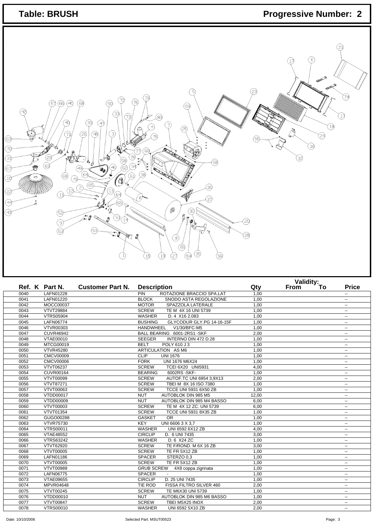| <b>Table: BRUSH</b>                                                                                                                                                                                                                                                                                                                                                                                                                                                             |                                                                                                                                                                                                                                                                      |                          | <b>Progressive Number: 2</b>                                        |
|---------------------------------------------------------------------------------------------------------------------------------------------------------------------------------------------------------------------------------------------------------------------------------------------------------------------------------------------------------------------------------------------------------------------------------------------------------------------------------|----------------------------------------------------------------------------------------------------------------------------------------------------------------------------------------------------------------------------------------------------------------------|--------------------------|---------------------------------------------------------------------|
| 72)<br>56<br>45)<br>68<br>50<br>57<br>42,<br>33)<br>73)<br>39<br>40,<br>(47)<br>$\left(3\right)$<br>(26)<br>(48)<br>71<br>☺<br>J 6<br>(70)<br>$\mathcal{L}_{\mathcal{A}}$<br>SOE.<br>③<br>$\mathbf{v}_o$<br>69<br>G<br>EÌ<br>49<br>OO !<br>(64<br>(68)<br>O<br>(1)<br>$\mathcal{Q}$<br>$\circled{s}$<br>$\circledS$<br>(12)<br>(23)<br>$\left(\begin{smallmatrix} 1 \ 1 \end{smallmatrix}\right)$<br>(64<br>65,<br>◈<br>(43)<br>E8<br>G)<br>' 14<br>9<br>લ્રિ<br>阄<br>$\ket{1}$ | 5<br>(76)<br>(59)<br>⊛<br>ි7)<br>(25)<br><b>Reduced Strategy</b><br>78)<br>(58)<br>سي<br>معا<br><b>RECEIVED BY</b><br>38)<br>(61)<br>36)<br>∰<br>37,<br><br>(30)<br>昌內<br>0<br>°<br>(8)<br>(55)<br>(35)<br>$\left( \frac{1}{2} \right)$<br>27)<br>(54<br>(56)<br>(19 | 17<br>32,<br>20,<br>28)  | 21)<br>Б<br>74)<br>17<br>$\left( \frac{1}{2} \right)$<br>24<br>(16) |
| Ref. K Part N.<br>Gustomer Part N.                                                                                                                                                                                                                                                                                                                                                                                                                                              | <b>Description</b>                                                                                                                                                                                                                                                   | Validity:<br>From<br>Qty | <b>Price</b><br>$\overline{1}$                                      |
| 0040<br>LAFN01228                                                                                                                                                                                                                                                                                                                                                                                                                                                               | PIN<br>ROTAZIONE BRACCIO SPA.LAT                                                                                                                                                                                                                                     | 1,00                     | $\sim$                                                              |
| 0041<br>LAFN01220                                                                                                                                                                                                                                                                                                                                                                                                                                                               | <b>BLOCK</b><br>SNODO ASTA REGOLAZIONE                                                                                                                                                                                                                               | 1,00                     | $\sim$                                                              |
| MOCC00037<br>0042                                                                                                                                                                                                                                                                                                                                                                                                                                                               | <b>MOTOR</b><br>SPAZZOLA LATERALE                                                                                                                                                                                                                                    | 1,00                     | $\sim$                                                              |
| 0043<br><b>VTVT29884</b>                                                                                                                                                                                                                                                                                                                                                                                                                                                        | <b>SCREW</b><br>TE M 4X 16 UNI 5739                                                                                                                                                                                                                                  | 1,00                     | $\sim$                                                              |
| 0044<br><b>VTRS05904</b>                                                                                                                                                                                                                                                                                                                                                                                                                                                        | <b>WASHER</b><br>D. 4 X16 2.083                                                                                                                                                                                                                                      | 1,00                     | $\sim$                                                              |
| 0045<br>LAFN06774                                                                                                                                                                                                                                                                                                                                                                                                                                                               | <b>BUSHING</b><br>GLYCODUR GLY.PG 14-16-15F                                                                                                                                                                                                                          | 1,00                     | $\sim$                                                              |
| <b>VTVR00303</b><br>0046                                                                                                                                                                                                                                                                                                                                                                                                                                                        | HANDWHEEL V1/30/BFC-M5                                                                                                                                                                                                                                               | 1,00                     | $\sim$                                                              |
| 0047<br>CLIVR46942                                                                                                                                                                                                                                                                                                                                                                                                                                                              | BALL BEARING 6001-2RS1-SKE                                                                                                                                                                                                                                           | 2.00                     | $\sim$                                                              |

|      |                  | Puulipuuli                                   | $\ddotsc$                         | . | . . | .                        |
|------|------------------|----------------------------------------------|-----------------------------------|---|-----|--------------------------|
| 0040 | LAFN01228        | <b>PIN</b><br>ROTAZIONE BRACCIO SPA.LAT      | 1,00                              |   |     | $\overline{\phantom{a}}$ |
| 0041 | <b>LAFN01220</b> | <b>BLOCK</b>                                 | 1,00<br>SNODO ASTA REGOLAZIONE    |   |     | ۰.                       |
| 0042 | MOCC00037        | <b>MOTOR</b><br>SPAZZOLA LATERALE            | 1,00                              |   |     | $\overline{\phantom{a}}$ |
| 0043 | <b>VTVT29884</b> | <b>SCREW</b><br>TE M 4X 16 UNI 5739          | 1,00                              |   |     | $\overline{\phantom{a}}$ |
| 0044 | <b>VTRS05904</b> | <b>WASHER</b><br>D. 4 X16 2.083              | 1.00                              |   |     | $\sim$                   |
| 0045 | LAFN06774        | <b>BUSHING</b>                               | GLYCODUR GLY.PG 14-16-15F<br>1,00 |   |     | $\mathbf{u}$             |
| 0046 | <b>VTVR00303</b> | HANDWHEEL V1/30/BFC-M5                       | 1,00                              |   |     | $\mathbf{u}$             |
| 0047 | <b>CUVR46942</b> | BALL BEARING 6001-2RS1-SKF                   | 2,00                              |   |     | $\overline{\phantom{a}}$ |
| 0048 | VTAE00010        | <b>SEEGER</b><br>INTERNO DIN 472 D.28        | 1,00                              |   |     | $\sim$                   |
| 0049 | MTCG00019        | <b>BELT</b><br>POLY 610 J 3                  | 1,00                              |   |     | $\mathbf{u}$             |
| 0050 | <b>VTVR45280</b> | ARTICULATION AS M6                           | 1,00                              |   |     | $\mathbf{u}$             |
| 0051 | <b>CMCV00009</b> | CLIP<br><b>UNI 1676</b>                      | 1,00                              |   |     | --                       |
| 0052 | <b>CMCV00006</b> | <b>FORK</b><br><b>UNI 1676 M6X24</b>         | 1,00                              |   |     | $\overline{\phantom{a}}$ |
| 0053 | VTVT06237        | <b>SCREW</b><br>TCEI 6X20 UNI5931            | 4,00                              |   |     | $\mathbf{u}$             |
| 0054 | <b>CUVR00164</b> | 6002RS-SKF-<br><b>BEARING</b>                | 1.00                              |   |     | $\sim$                   |
| 0055 | VTVT00099        | <b>SCREW</b>                                 | AUTOF.TC UNI 6954 3,9X13<br>2,00  |   |     | $\sim$                   |
| 0056 | VTVT87271        | <b>SCREW</b><br>TBEI M 8X 16 ISO 7380        | 1,00                              |   |     | $\overline{\phantom{a}}$ |
| 0057 | VTVT00063        | <b>SCREW</b><br><b>TCCE UNI 5931 6X50 ZB</b> | 1.00                              |   |     | $\overline{\phantom{a}}$ |
| 0058 | VTDD00017        | <b>NUT</b><br>AUTOBLOK DIN 985 M5            | 12,00                             |   |     | $\mathbf{u}$             |
| 0059 | VTDD00009        | <b>NUT</b>                                   | AUTOBLOK DIN 985 M4 BASSO<br>6,00 |   |     | $\sim$ $\sim$            |
| 0060 | VTVT00003        | <b>SCREW</b><br>TE M 4X 12 ZC. UNI 5739      | 6,00                              |   |     | $\overline{\phantom{a}}$ |
| 0061 | VTVT01354        | <b>SCREW</b><br>TCCE UNI 5931 8X35 ZB        | 1,00                              |   |     | --                       |
| 0062 | GUGO00288        | <b>GASKET</b><br><b>OR</b>                   | 1.00                              |   |     | $\sim$ $\sim$            |
| 0063 | <b>VTVR75730</b> | <b>KEY</b><br>UNI 6606 3 X 3,7               | 1,00                              |   |     | $\overline{\phantom{a}}$ |
| 0064 | <b>VTRS00011</b> | UNI 6592 6X12 ZB<br><b>WASHER</b>            | 4,00                              |   |     | $\mathbf{u}$             |
| 0065 | <b>VTAE48552</b> | <b>CIRCLIP</b><br>D. 6 UNI 7435              | 3,00                              |   |     | $\overline{\phantom{a}}$ |
| 0066 | <b>VTRS63242</b> | <b>WASHER</b><br>D. 6 X24 ZC                 | 1,00                              |   |     | $\overline{\phantom{a}}$ |
| 0067 | VTVT62920        | <b>SCREW</b><br>TE F/ROND. M 6X 16 ZB        | 3,00                              |   |     | $\overline{\phantom{a}}$ |
| 0068 | VTVT00005        | <b>SCREW</b><br>TE FR 5X12 ZB                | 1,00                              |   |     | $\overline{\phantom{a}}$ |
| 0069 | LAFN01186        | <b>SPACER</b><br>STERZO 0,3                  | 1,00                              |   |     | $\overline{\phantom{a}}$ |
| 0070 | VTVT00005        | <b>SCREW</b><br>TE FR 5X12 ZB                | 1,00                              |   |     | $\overline{\phantom{a}}$ |
| 0071 | VTVT00989        | GRUB SCREW 4X8 coppa zigrinata               | 1,00                              |   |     | --                       |
| 0072 | LAFN06775        | <b>SPACER</b><br>$\sim$                      | 1,00                              |   |     | $\sim$ $\sim$            |
| 0073 | <b>VTAE09655</b> | <b>CIRCLIP</b><br>D. 25 UNI 7435             | 1,00                              |   |     | $\sim$                   |
| 0074 | MPVR04648        | <b>TIE ROD</b><br>FISSA FILTRO SILVER 460    | 2,00                              |   |     | $\mathbf{u}$             |
| 0075 | VTVT00245        | <b>SCREW</b><br>TE M6X30 UNI 5739            | 1,00                              |   |     | $\mathbf{u}$             |
| 0076 | VTDD00010        | <b>NUT</b>                                   | 1,00<br>AUTOBLOK DIN 985 M6 BASSO |   |     | $\overline{\phantom{a}}$ |
| 0077 | <b>VTVT00847</b> | <b>SCREW</b><br>TBEI M5X25 INOX              | 2,00                              |   |     | $\overline{\phantom{a}}$ |
| 0078 | <b>VTRS00010</b> | <b>WASHER</b><br>UNI 6592 5X10 ZB            | 2.00                              |   |     | $\sim$                   |

Date: 10/10/2006 Page: 3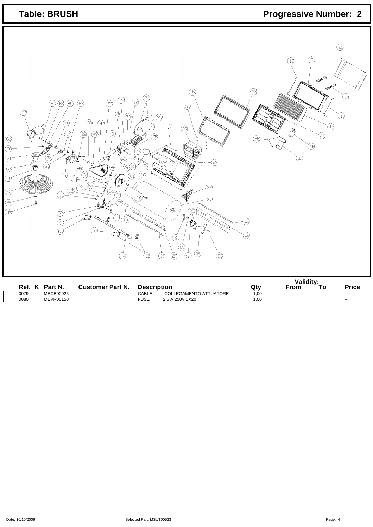| <b>Table: BRUSH</b>                                                                                                                                                                                                                                                                                                                                                                                                                                                                                                                                                                                                                                                                                                                                                                                                                                                                                                                                                                                                                                                                                                    | <b>Progressive Number: 2</b>                                                  |
|------------------------------------------------------------------------------------------------------------------------------------------------------------------------------------------------------------------------------------------------------------------------------------------------------------------------------------------------------------------------------------------------------------------------------------------------------------------------------------------------------------------------------------------------------------------------------------------------------------------------------------------------------------------------------------------------------------------------------------------------------------------------------------------------------------------------------------------------------------------------------------------------------------------------------------------------------------------------------------------------------------------------------------------------------------------------------------------------------------------------|-------------------------------------------------------------------------------|
| 5<br>79,<br>(72)<br>(76)<br>@<br>B)<br>.89<br>ි0<br>57)<br>69<br>?<br>33)<br>(73)<br>⊗)<br>39<br>⊕<br>4Ò)<br><u>ี</u> 7)<br>ලි<br>3)<br>?<br>48)<br>71<br>75<br>☺<br>100.88<br>g<br>W 6<br>℗<br>FRANCISCO PROFESSIONES CON CONTROLLER<br>$\mathcal{L}_{\mathcal{O}}$<br>60<br>食<br>to b<br>78)<br>29<br>ŕ,<br>≪<br>(58)<br>ලි§<br>7<br>34<br>(୧େ<br>سي<br>معا<br>G<br>È2,<br>(46)<br>☞<br>49)<br>$\delta$<br><b>Comment of the Comment of the Comment of the Comment of the Comment of The Comment of The Comment of The Comment of The Comment of The Comment of The Comment of The Comment of The Comment of The Comment of The Comment of </b><br>⊗<br>(64<br>$\circledast$<br>$\circled{s}$<br>◑<br>O<br>(0).<br>ี 41)<br>$\widehat{\circledast}$<br>⊛<br>(2)<br>$\begin{array}{c} \textcircled{12} \end{array}$<br>13)<br>(22)<br>$\textcircled{\scriptsize{1}}$<br>69)<br>∰<br>`0)<br>37<br>ஞ<br>(4)<br><br>ිම<br>্ৰ3<br>ලි ද<br>eg –<br>$B\mathcal{P}_{\phi_{\infty}}$<br>$\mathfrak{S}_{\bigoplus}$<br>$\circledcirc$<br>্যি<br>153<br>贮<br>2<br>⊗<br>ශ<br>35)<br>$\bigcirc$<br>49<br>⊘<br>☺<br>⊛<br>$\ket{1}$ | 21)<br>-6,<br>(1)<br>74<br>17<br>(13)<br>P4<br>29<br>(19<br>(32)<br>Э<br>(23) |
| Ref. K Part N.<br><b>Customer Part N.</b><br><b>Description</b>                                                                                                                                                                                                                                                                                                                                                                                                                                                                                                                                                                                                                                                                                                                                                                                                                                                                                                                                                                                                                                                        | Validity:<br>From To<br><b>Price</b><br>Qty                                   |

0079 MECB00925 CABLE COLLEGAMENTO ATTUATORE 1,00 --0080 MEVR00150 FUSE 2.5 A 250V 5X20 1,00 --